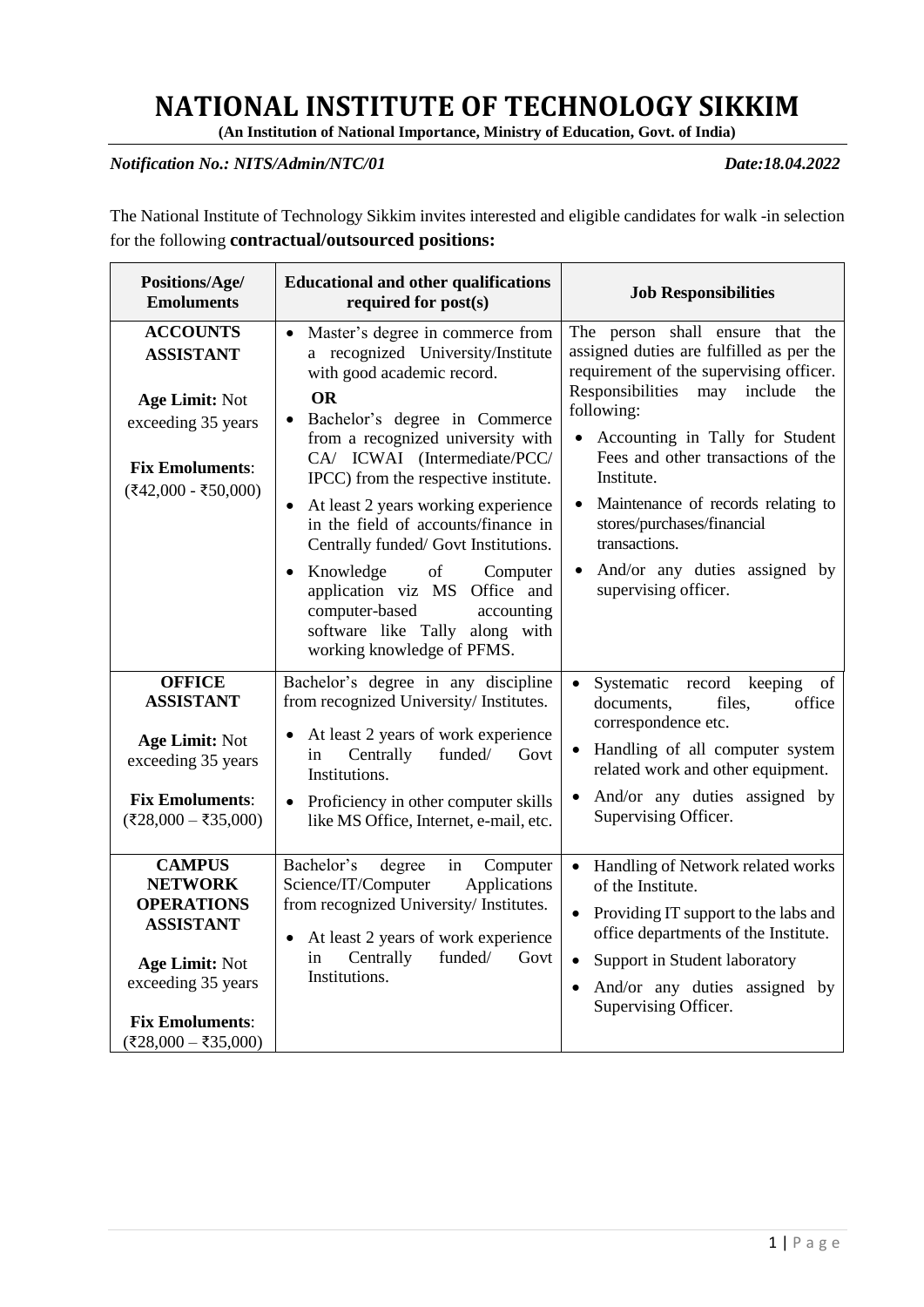# **NATIONAL INSTITUTE OF TECHNOLOGY SIKKIM**

**(An Institution of National Importance, Ministry of Education, Govt. of India)**

## *Notification No.: NITS/Admin/NTC/01 Date:18.04.2022*

 $\overline{a}$ 

The National Institute of Technology Sikkim invites interested and eligible candidates for walk -in selection for the following **contractual/outsourced positions:**

| Positions/Age/<br><b>Emoluments</b>                                                                                                                                       | <b>Educational and other qualifications</b><br>required for post(s)                                                                                                                                                                                                                                                                                                                                                                                                                                                                                                                | <b>Job Responsibilities</b>                                                                                                                                                                                                                                                                                                                                                                                                                         |  |  |
|---------------------------------------------------------------------------------------------------------------------------------------------------------------------------|------------------------------------------------------------------------------------------------------------------------------------------------------------------------------------------------------------------------------------------------------------------------------------------------------------------------------------------------------------------------------------------------------------------------------------------------------------------------------------------------------------------------------------------------------------------------------------|-----------------------------------------------------------------------------------------------------------------------------------------------------------------------------------------------------------------------------------------------------------------------------------------------------------------------------------------------------------------------------------------------------------------------------------------------------|--|--|
| <b>ACCOUNTS</b><br><b>ASSISTANT</b><br>Age Limit: Not<br>exceeding 35 years<br><b>Fix Emoluments:</b><br>$($ ₹42,000 - ₹50,000)                                           | Master's degree in commerce from<br>$\bullet$<br>a recognized University/Institute<br>with good academic record.<br><b>OR</b><br>Bachelor's degree in Commerce<br>$\bullet$<br>from a recognized university with<br>CA/ ICWAI (Intermediate/PCC/<br>IPCC) from the respective institute.<br>At least 2 years working experience<br>$\bullet$<br>in the field of accounts/finance in<br>Centrally funded/ Govt Institutions.<br>$\sigma f$<br>Knowledge<br>Computer<br>$\bullet$<br>application viz MS Office and<br>computer-based<br>accounting<br>software like Tally along with | The person shall ensure that the<br>assigned duties are fulfilled as per the<br>requirement of the supervising officer.<br>Responsibilities<br>may<br>include<br>the<br>following:<br>• Accounting in Tally for Student<br>Fees and other transactions of the<br>Institute.<br>Maintenance of records relating to<br>$\bullet$<br>stores/purchases/financial<br>transactions.<br>And/or any duties assigned by<br>$\bullet$<br>supervising officer. |  |  |
| <b>OFFICE</b><br><b>ASSISTANT</b><br>Age Limit: Not<br>exceeding 35 years<br><b>Fix Emoluments:</b><br>$(₹28,000 - ₹35,000)$                                              | working knowledge of PFMS.<br>Bachelor's degree in any discipline<br>from recognized University/ Institutes.<br>At least 2 years of work experience<br>$\bullet$<br>Centrally<br>funded/<br>Govt<br>in<br>Institutions.<br>Proficiency in other computer skills<br>$\bullet$<br>like MS Office, Internet, e-mail, etc.                                                                                                                                                                                                                                                             | Systematic record keeping of<br>$\bullet$<br>files,<br>office<br>documents,<br>correspondence etc.<br>Handling of all computer system<br>related work and other equipment.<br>And/or any duties assigned by<br>Supervising Officer.                                                                                                                                                                                                                 |  |  |
| <b>CAMPUS</b><br><b>NETWORK</b><br><b>OPERATIONS</b><br><b>ASSISTANT</b><br><b>Age Limit: Not</b><br>exceeding 35 years<br><b>Fix Emoluments:</b><br>$(328,000 - 35,000)$ | Bachelor's<br>in<br>degree<br>Computer<br>Science/IT/Computer<br>Applications<br>from recognized University/ Institutes.<br>At least 2 years of work experience<br>$\bullet$<br>Centrally<br>Govt<br>funded/<br>in<br>Institutions.                                                                                                                                                                                                                                                                                                                                                | Handling of Network related works<br>of the Institute.<br>Providing IT support to the labs and<br>$\bullet$<br>office departments of the Institute.<br>Support in Student laboratory<br>And/or any duties assigned by<br>$\bullet$<br>Supervising Officer.                                                                                                                                                                                          |  |  |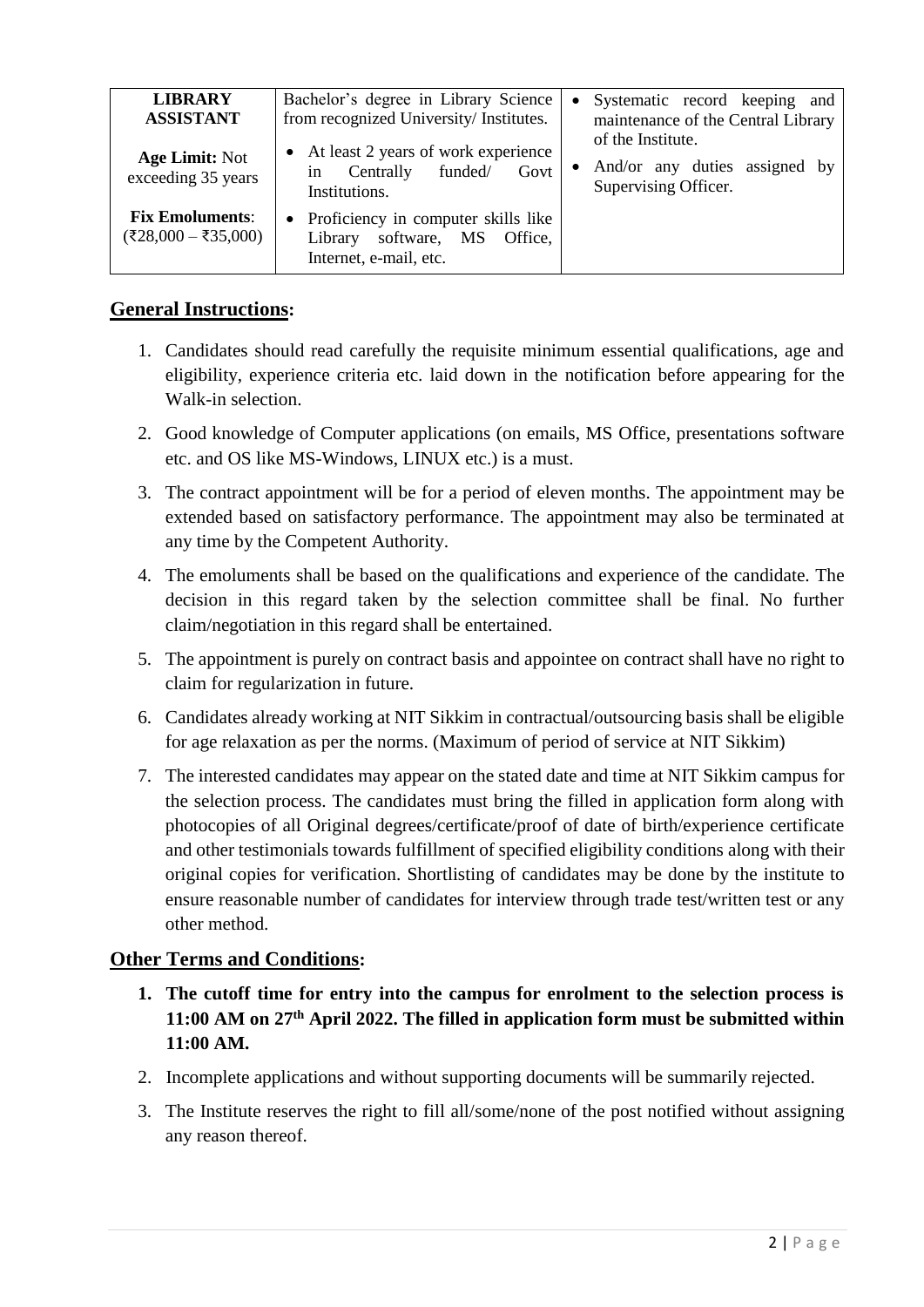| <b>LIBRARY</b><br><b>ASSISTANT</b>            | Bachelor's degree in Library Science<br>from recognized University/Institutes.                             | Systematic record keeping and<br>$\bullet$<br>maintenance of the Central Library |
|-----------------------------------------------|------------------------------------------------------------------------------------------------------------|----------------------------------------------------------------------------------|
| <b>Age Limit: Not</b><br>exceeding 35 years   | At least 2 years of work experience<br>$\bullet$<br>Centrally<br>funded/<br>Govt<br>1n<br>Institutions.    | of the Institute.<br>• And/or any duties assigned by<br>Supervising Officer.     |
| <b>Fix Emoluments:</b><br>(₹28,000 – ₹35,000) | Proficiency in computer skills like<br>$\bullet$<br>Library software, MS Office,<br>Internet, e-mail, etc. |                                                                                  |

## **General Instructions:**

- 1. Candidates should read carefully the requisite minimum essential qualifications, age and eligibility, experience criteria etc. laid down in the notification before appearing for the Walk-in selection.
- 2. Good knowledge of Computer applications (on emails, MS Office, presentations software etc. and OS like MS-Windows, LINUX etc.) is a must.
- 3. The contract appointment will be for a period of eleven months. The appointment may be extended based on satisfactory performance. The appointment may also be terminated at any time by the Competent Authority.
- 4. The emoluments shall be based on the qualifications and experience of the candidate. The decision in this regard taken by the selection committee shall be final. No further claim/negotiation in this regard shall be entertained.
- 5. The appointment is purely on contract basis and appointee on contract shall have no right to claim for regularization in future.
- 6. Candidates already working at NIT Sikkim in contractual/outsourcing basis shall be eligible for age relaxation as per the norms. (Maximum of period of service at NIT Sikkim)
- 7. The interested candidates may appear on the stated date and time at NIT Sikkim campus for the selection process. The candidates must bring the filled in application form along with photocopies of all Original degrees/certificate/proof of date of birth/experience certificate and other testimonials towards fulfillment of specified eligibility conditions along with their original copies for verification. Shortlisting of candidates may be done by the institute to ensure reasonable number of candidates for interview through trade test/written test or any other method.

## **Other Terms and Conditions:**

- **1. The cutoff time for entry into the campus for enrolment to the selection process is 11:00 AM on 27 th April 2022. The filled in application form must be submitted within 11:00 AM.**
- 2. Incomplete applications and without supporting documents will be summarily rejected.
- 3. The Institute reserves the right to fill all/some/none of the post notified without assigning any reason thereof.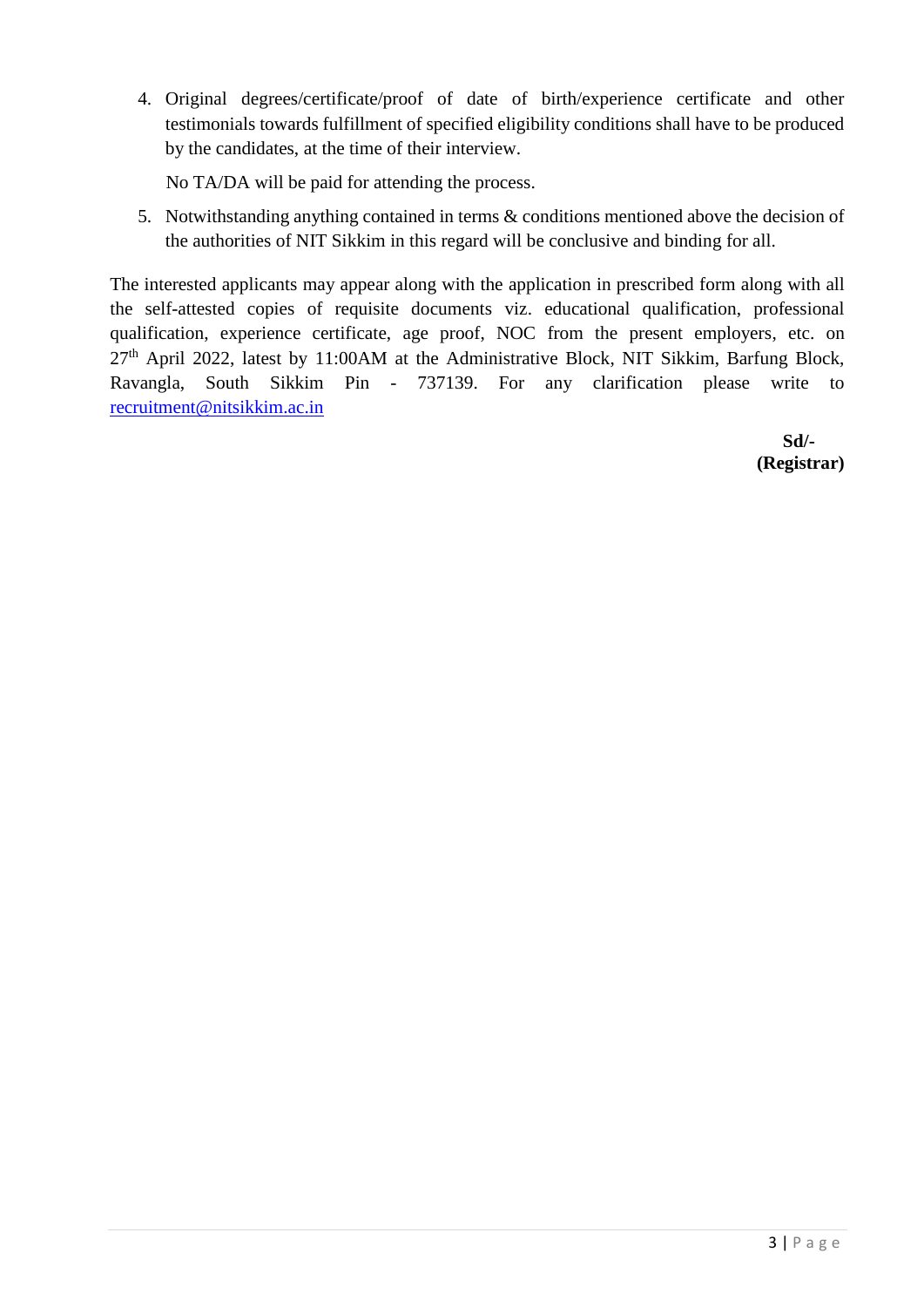4. Original degrees/certificate/proof of date of birth/experience certificate and other testimonials towards fulfillment of specified eligibility conditions shall have to be produced by the candidates, at the time of their interview.

No TA/DA will be paid for attending the process.

5. Notwithstanding anything contained in terms & conditions mentioned above the decision of the authorities of NIT Sikkim in this regard will be conclusive and binding for all.

The interested applicants may appear along with the application in prescribed form along with all the self-attested copies of requisite documents viz. educational qualification, professional qualification, experience certificate, age proof, NOC from the present employers, etc. on 27th April 2022, latest by 11:00AM at the Administrative Block, NIT Sikkim, Barfung Block, Ravangla, South Sikkim Pin - 737139. For any clarification please write to [recruitment@nitsikkim.ac.in](mailto:recruitment@nitsikkim.ac.in)

> **Sd/- (Registrar)**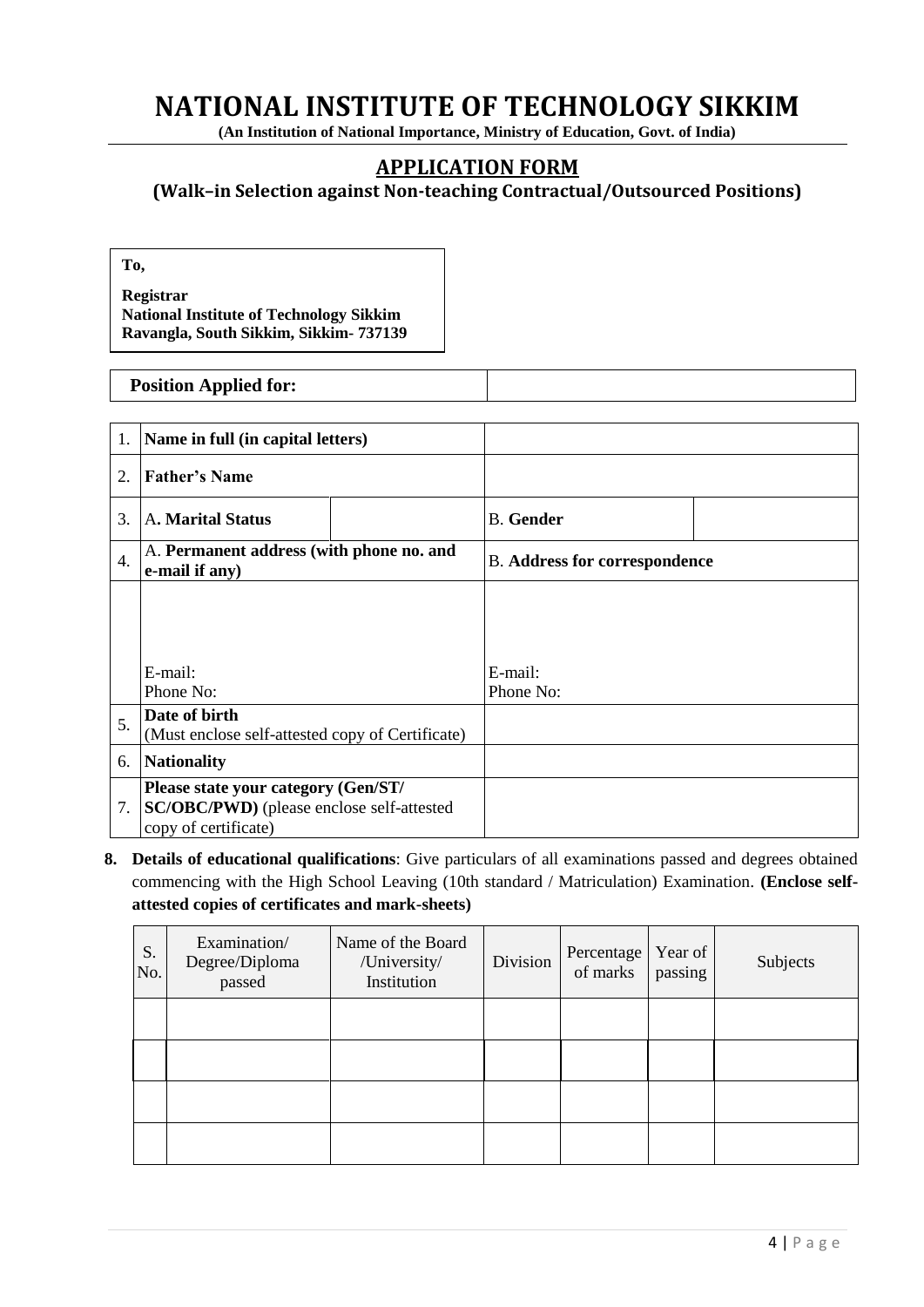# **NATIONAL INSTITUTE OF TECHNOLOGY SIKKIM**

**(An Institution of National Importance, Ministry of Education, Govt. of India)**

## **APPLICATION FORM**

## **(Walk–in Selection against Non-teaching Contractual/Outsourced Positions)**

**To, Registrar National Institute of Technology Sikkim Ravangla, South Sikkim, Sikkim- 737139**

### **Position Applied for:**

| 1.               | Name in full (in capital letters)                                                                                |                                      |  |  |  |
|------------------|------------------------------------------------------------------------------------------------------------------|--------------------------------------|--|--|--|
| 2.               | <b>Father's Name</b>                                                                                             |                                      |  |  |  |
| 3.               | A. Marital Status                                                                                                | <b>B.</b> Gender                     |  |  |  |
| $\overline{4}$ . | A. Permanent address (with phone no. and<br>e-mail if any)                                                       | <b>B.</b> Address for correspondence |  |  |  |
|                  |                                                                                                                  |                                      |  |  |  |
|                  |                                                                                                                  |                                      |  |  |  |
|                  | E-mail:                                                                                                          | E-mail:                              |  |  |  |
|                  | Phone No:                                                                                                        | Phone No:                            |  |  |  |
| 5.               | Date of birth<br>(Must enclose self-attested copy of Certificate)                                                |                                      |  |  |  |
| 6.               | <b>Nationality</b>                                                                                               |                                      |  |  |  |
| 7.               | Please state your category (Gen/ST/<br><b>SC/OBC/PWD</b> ) (please enclose self-attested<br>copy of certificate) |                                      |  |  |  |

**8. Details of educational qualifications**: Give particulars of all examinations passed and degrees obtained commencing with the High School Leaving (10th standard / Matriculation) Examination. **(Enclose selfattested copies of certificates and mark-sheets)**

| S.<br>No. | Examination/<br>Degree/Diploma<br>passed | Name of the Board<br>/University/<br>Institution | Division | Percentage<br>of marks | Year of<br>passing | Subjects |
|-----------|------------------------------------------|--------------------------------------------------|----------|------------------------|--------------------|----------|
|           |                                          |                                                  |          |                        |                    |          |
|           |                                          |                                                  |          |                        |                    |          |
|           |                                          |                                                  |          |                        |                    |          |
|           |                                          |                                                  |          |                        |                    |          |